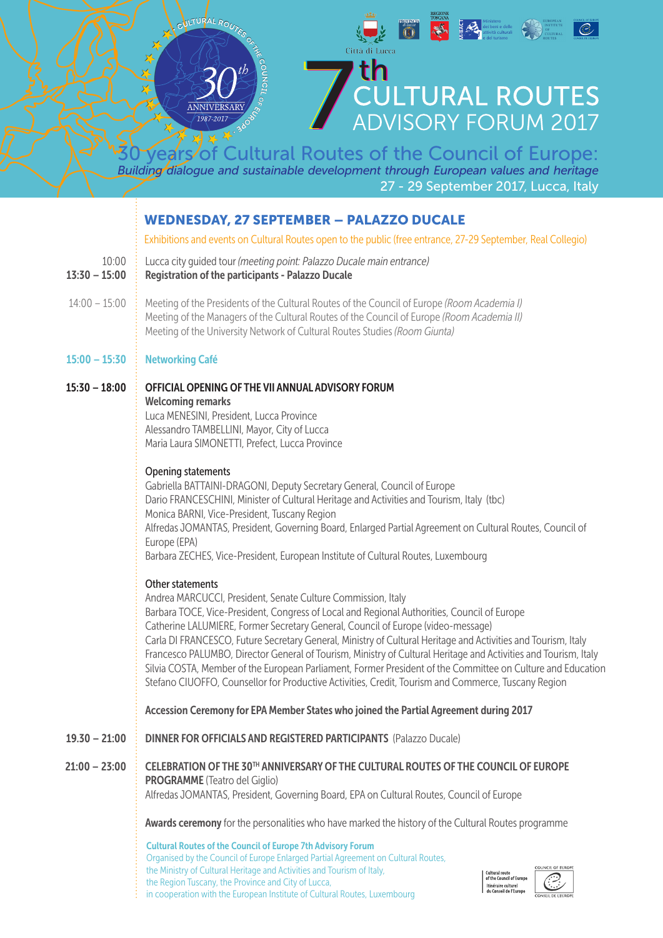# **CULTURAL ROUTES**<br>ADVISORY FORUM 2017

**of** the Council of Europe **du Conseil de l'Europe**<br>Conseil de l'Europe

s/of Cultural Routes of the Council of Europe: *Building dialogue and sustainable development through European values and heritage* 27 - 29 September 2017, Lucca, Italy

# WEDNESDAY, 27 SEPTEMBER – PALAZZO DUCALE

Exhibitions and events on Cultural Routes open to the public (free entrance, 27-29 September, Real Collegio)

- Lucca city guided tour *(meeting point: Palazzo Ducale main entrance)* Registration of the participants - Palazzo Ducale 10:00 13:30 – 15:00
- Meeting of the Presidents of the Cultural Routes of the Council of Europe *(Room Academia I)* Meeting of the Managers of the Cultural Routes of the Council of Europe *(Room Academia II)* Meeting of the University Network of Cultural Routes Studies *(Room Giunta)*  $14:00 - 15:00$

#### Networking Café 15:00 – 15:30

#### OFFICIAL OPENING OF THE VII ANNUAL ADVISORY FORUM 15:30 – 18:00

Welcoming remarks

ILTURAL ROUT

**ANNIVERSARY** 1987-201.

Luca MENESINI, President, Lucca Province Alessandro TAMBELLINI, Mayor, City of Lucca Maria Laura SIMONETTI, Prefect, Lucca Province

## Opening statements

Gabriella BATTAINI-DRAGONI, Deputy Secretary General, Council of Europe Dario FRANCESCHINI, Minister of Cultural Heritage and Activities and Tourism, Italy (tbc) Monica BARNI, Vice-President, Tuscany Region Alfredas JOMANTAS, President, Governing Board, Enlarged Partial Agreement on Cultural Routes, Council of Europe (EPA) Barbara ZECHES, Vice-President, European Institute of Cultural Routes, Luxembourg

# Other statements

Andrea MARCUCCI, President, Senate Culture Commission, Italy Barbara TOCE, Vice-President, Congress of Local and Regional Authorities, Council of Europe Catherine LALUMIERE, Former Secretary General, Council of Europe (video-message) Carla DI FRANCESCO, Future Secretary General, Ministry of Cultural Heritage and Activities and Tourism, Italy Francesco PALUMBO, Director General of Tourism, Ministry of Cultural Heritage and Activities and Tourism, Italy Silvia COSTA, Member of the European Parliament, Former President of the Committee on Culture and Education Stefano CIUOFFO, Counsellor for Productive Activities, Credit, Tourism and Commerce, Tuscany Region

# Accession Ceremony for EPA Member States who joined the Partial Agreement during 2017

DINNER FOR OFFICIALS AND REGISTERED PARTICIPANTS (Palazzo Ducale) 19.30 – 21:00

#### CELEBRATION OF THE 30TH ANNIVERSARY OF THE CULTURAL ROUTES OF THE COUNCIL OF EUROPE PROGRAMME (Teatro del Giglio) Alfredas JOMANTAS, President, Governing Board, EPA on Cultural Routes, Council of Europe 21:00 – 23:00

Awards ceremony for the personalities who have marked the history of the Cultural Routes programme

Cultural Routes of the Council of Europe 7th Advisory Forum Organised by the Council of Europe Enlarged Partial Agreement on Cultural Routes, the Ministry of Cultural Heritage and Activities and Tourism of Italy, the Region Tuscany, the Province and City of Lucca, in cooperation with the European Institute of Cultural Routes, Luxembourg

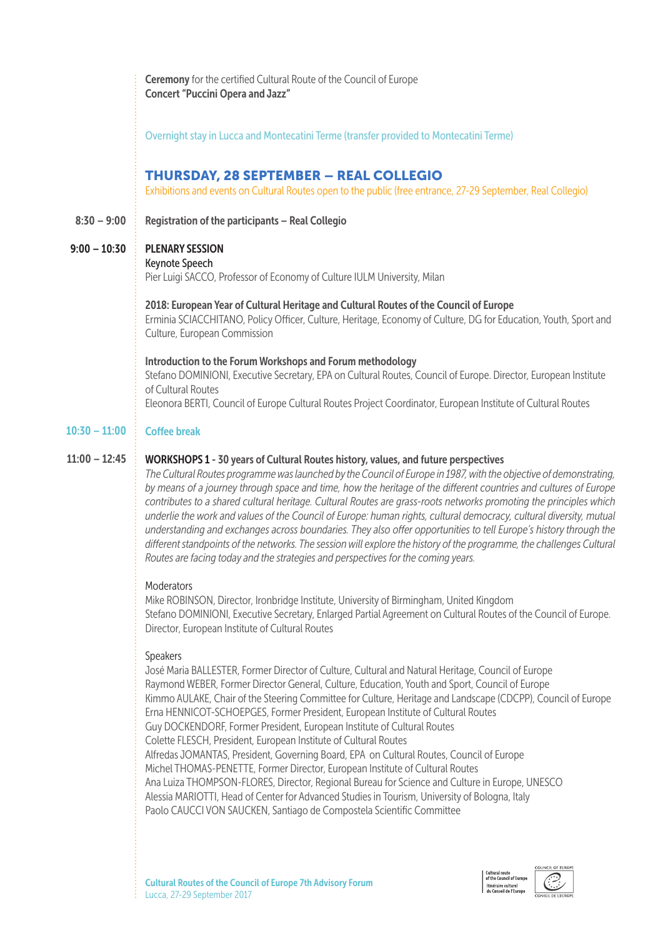Ceremony for the certified Cultural Route of the Council of Europe Concert "Puccini Opera and Jazz" Overnight stay in Lucca and Montecatini Terme (transfer provided to Montecatini Terme) Registration of the participants – Real Collegio PLENARY SESSION Keynote Speech Pier Luigi SACCO, Professor of Economy of Culture IULM University, Milan 2018: European Year of Cultural Heritage and Cultural Routes of the Council of Europe Erminia SCIACCHITANO, Policy Officer, Culture, Heritage, Economy of Culture, DG for Education, Youth, Sport and Culture, European Commission Introduction to the Forum Workshops and Forum methodology Stefano DOMINIONI, Executive Secretary, EPA on Cultural Routes, Council of Europe. Director, European Institute of Cultural Routes Eleonora BERTI, Council of Europe Cultural Routes Project Coordinator, European Institute of Cultural Routes Coffee break WORKSHOPS 1 - 30 years of Cultural Routes history, values, and future perspectives *The Cultural Routes programme was launched by the Council of Europe in 1987, with the objective of demonstrating, by means of a journey through space and time, how the heritage of the different countries and cultures of Europe contributes to a shared cultural heritage. Cultural Routes are grass-roots networks promoting the principles which underlie the work and values of the Council of Europe: human rights, cultural democracy, cultural diversity, mutual understanding and exchanges across boundaries. They also offer opportunities to tell Europe's history through the*  different standpoints of the networks. The session will explore the history of the programme, the challenges Cultural *Routes are facing today and the strategies and perspectives for the coming years.* **Moderators** Mike ROBINSON, Director, Ironbridge Institute, University of Birmingham, United Kingdom Stefano DOMINIONI, Executive Secretary, Enlarged Partial Agreement on Cultural Routes of the Council of Europe. Director, European Institute of Cultural Routes 8:30 – 9:00 9:00 – 10:30 10:30 – 11:00 11:00 – 12:45 THURSDAY, 28 SEPTEMBER – REAL COLLEGIO Exhibitions and events on Cultural Routes open to the public (free entrance, 27-29 September, Real Collegio)

## Speakers

José Maria BALLESTER, Former Director of Culture, Cultural and Natural Heritage, Council of Europe Raymond WEBER, Former Director General, Culture, Education, Youth and Sport, Council of Europe Kimmo AULAKE, Chair of the Steering Committee for Culture, Heritage and Landscape (CDCPP), Council of Europe Erna HENNICOT-SCHOEPGES, Former President, European Institute of Cultural Routes Guy DOCKENDORF, Former President, European Institute of Cultural Routes Colette FLESCH, President, European Institute of Cultural Routes Alfredas JOMANTAS, President, Governing Board, EPA on Cultural Routes, Council of Europe Michel THOMAS-PENETTE, Former Director, European Institute of Cultural Routes Ana Luiza THOMPSON-FLORES, Director, Regional Bureau for Science and Culture in Europe, UNESCO Alessia MARIOTTI, Head of Center for Advanced Studies in Tourism, University of Bologna, Italy Paolo CAUCCI VON SAUCKEN, Santiago de Compostela Scientific Committee



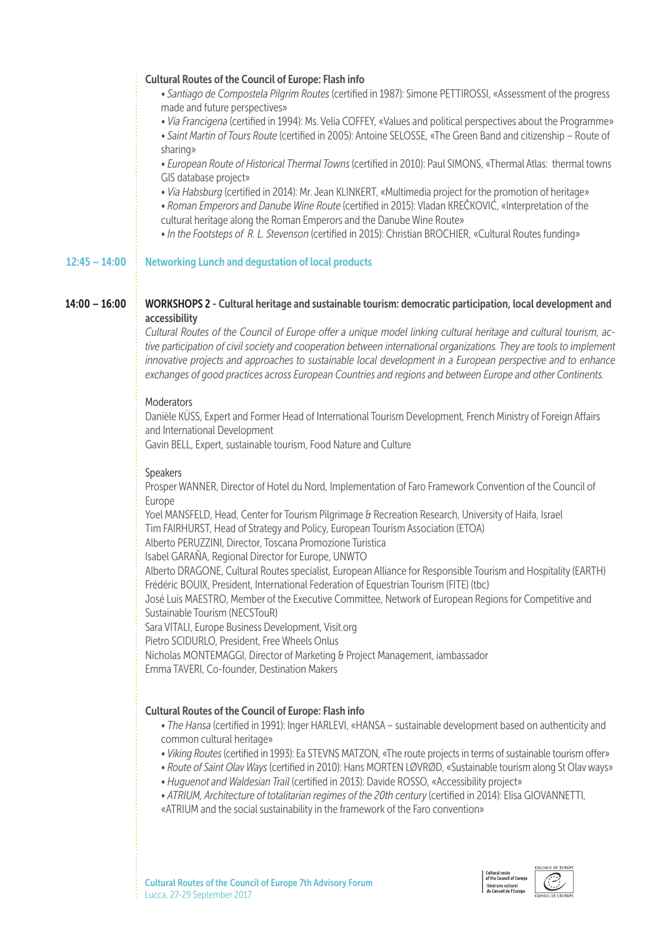## Cultural Routes of the Council of Europe: Flash info

- *Santiago de Compostela Pilgrim Routes* (certified in 1987): Simone PETTIROSSI, «Assessment of the progress made and future perspectives»
- *Via Francigena* (certified in 1994): Ms. Velia COFFEY, «Values and political perspectives about the Programme»
- *Saint Martin of Tours Route* (certified in 2005): Antoine SELOSSE, «The Green Band and citizenship Route of sharing»
- *European Route of Historical Thermal Towns* (certified in 2010): Paul SIMONS, «Thermal Atlas: thermal towns GIS database project»
- *Via Habsburg* (certified in 2014): Mr. Jean KLINKERT, «Multimedia project for the promotion of heritage»
- *Roman Emperors and Danube Wine Route* (certified in 2015): Vladan KREČKOVIĆ, «Interpretation of the cultural heritage along the Roman Emperors and the Danube Wine Route»
- • *In the Footsteps of R. L. Stevenson* (certified in 2015): Christian BROCHIER, «Cultural Routes funding»

#### 12:45 – 14:00 Networking Lunch and degustation of local products

#### $14:00 - 16:00$ WORKSHOPS 2 - Cultural heritage and sustainable tourism: democratic participation, local development and accessibility

*Cultural Routes of the Council of Europe offer a unique model linking cultural heritage and cultural tourism, active participation of civil society and cooperation between international organizations. They are tools to implement innovative projects and approaches to sustainable local development in a European perspective and to enhance exchanges of good practices across European Countries and regions and between Europe and other Continents.*

## **Moderators**

Danièle KÜSS, Expert and Former Head of International Tourism Development, French Ministry of Foreign Affairs and International Development

Gavin BELL, Expert, sustainable tourism, Food Nature and Culture

## Speakers

Prosper WANNER, Director of Hotel du Nord, Implementation of Faro Framework Convention of the Council of Europe

Yoel MANSFELD, Head, Center for Tourism Pilgrimage & Recreation Research, University of Haifa, Israel Tim FAIRHURST, Head of Strategy and Policy, European Tourism Association (ETOA)

Alberto PERUZZINI, Director, Toscana Promozione Turistica

Isabel GARAÑA, Regional Director for Europe, UNWTO

Alberto DRAGONE, Cultural Routes specialist, European Alliance for Responsible Tourism and Hospitality (EARTH) Frédéric BOUIX, President, International Federation of Equestrian Tourism (FITE) (tbc)

José Luis MAESTRO, Member of the Executive Committee, Network of European Regions for Competitive and Sustainable Tourism (NECSTouR)

Sara VITALI, Europe Business Development, Visit.org

Pietro SCIDURLO, President, Free Wheels Onlus

Nicholas MONTEMAGGI, Director of Marketing & Project Management, iambassador

Emma TAVERI, Co-founder, Destination Makers

## Cultural Routes of the Council of Europe: Flash info

• *The Hansa* (certified in 1991): Inger HARLEVI, «HANSA – sustainable development based on authenticity and common cultural heritage»

- *Viking Routes* (certified in 1993): Ea STEVNS MATZON, «The route projects in terms of sustainable tourism offer»
- *Route of Saint Olav Ways* (certified in 2010): Hans MORTEN LØVRØD, «Sustainable tourism along St Olav ways»
- *Huguenot and Waldesian Trail* (certified in 2013): Davide ROSSO, «Accessibility project»
- *ATRIUM, Architecture of totalitarian regimes of the 20th century* (certified in 2014): Elisa GIOVANNETTI,
- «ATRIUM and the social sustainability in the framework of the Faro convention»



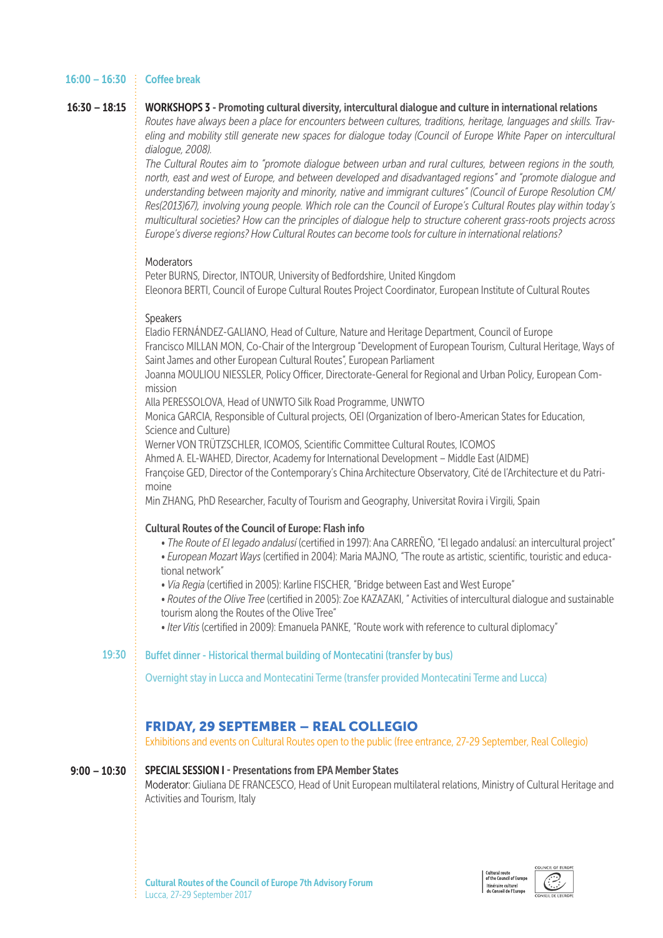## $16:00 - 16:30$  Coffee break

#### 16:30 – 18:15

#### WORKSHOPS 3 - Promoting cultural diversity, intercultural dialogue and culture in international relations

*Routes have always been a place for encounters between cultures, traditions, heritage, languages and skills. Traveling and mobility still generate new spaces for dialogue today (Council of Europe White Paper on intercultural dialogue, 2008).* 

*The Cultural Routes aim to "promote dialogue between urban and rural cultures, between regions in the south, north, east and west of Europe, and between developed and disadvantaged regions" and "promote dialogue and understanding between majority and minority, native and immigrant cultures" (Council of Europe Resolution CM/ Res(2013)67), involving young people. Which role can the Council of Europe's Cultural Routes play within today's multicultural societies? How can the principles of dialogue help to structure coherent grass-roots projects across Europe's diverse regions? How Cultural Routes can become tools for culture in international relations?*

## Moderators

Peter BURNS, Director, INTOUR, University of Bedfordshire, United Kingdom Eleonora BERTI, Council of Europe Cultural Routes Project Coordinator, European Institute of Cultural Routes

#### Speakers

Eladio FERNÁNDEZ-GALIANO, Head of Culture, Nature and Heritage Department, Council of Europe Francisco MILLAN MON, Co-Chair of the Intergroup "Development of European Tourism, Cultural Heritage, Ways of Saint James and other European Cultural Routes", European Parliament

Joanna MOULIOU NIESSLER, Policy Officer, Directorate-General for Regional and Urban Policy, European Commission

Alla PERESSOLOVA, Head of UNWTO Silk Road Programme, UNWTO

Monica GARCIA, Responsible of Cultural projects, OEI (Organization of Ibero-American States for Education, Science and Culture)

Werner VON TRÜTZSCHLER, ICOMOS, Scientific Committee Cultural Routes, ICOMOS

Ahmed A. EL-WAHED, Director, Academy for International Development – Middle East (AIDME) Françoise GED, Director of the Contemporary's China Architecture Observatory, Cité de l'Architecture et du Patri-

moine Min ZHANG, PhD Researcher, Faculty of Tourism and Geography, Universitat Rovira i Virgili, Spain

#### Cultural Routes of the Council of Europe: Flash info

- *The Route of El legado andalusí* (certified in 1997): Ana CARREÑO, "El legado andalusí: an intercultural project"
- *European Mozart Ways* (certified in 2004): Maria MAJNO, "The route as artistic, scientific, touristic and educational network"
- *Via Regia* (certified in 2005): Karline FISCHER, "Bridge between East and West Europe"
- *Routes of the Olive Tree* (certified in 2005): Zoe KAZAZAKI, " Activities of intercultural dialogue and sustainable tourism along the Routes of the Olive Tree"
- *Iter Vitis* (certified in 2009): Emanuela PANKE, "Route work with reference to cultural diplomacy"

#### Buffet dinner - Historical thermal building of Montecatini (transfer by bus) 19:30

Overnight stay in Lucca and Montecatini Terme (transfer provided Montecatini Terme and Lucca)

# FRIDAY, 29 SEPTEMBER – REAL COLLEGIO

Exhibitions and events on Cultural Routes open to the public (free entrance, 27-29 September, Real Collegio)

#### SPECIAL SESSION I - Presentations from EPA Member States 9:00 – 10:30

Moderator: Giuliana DE FRANCESCO, Head of Unit European multilateral relations, Ministry of Cultural Heritage and Activities and Tourism, Italy



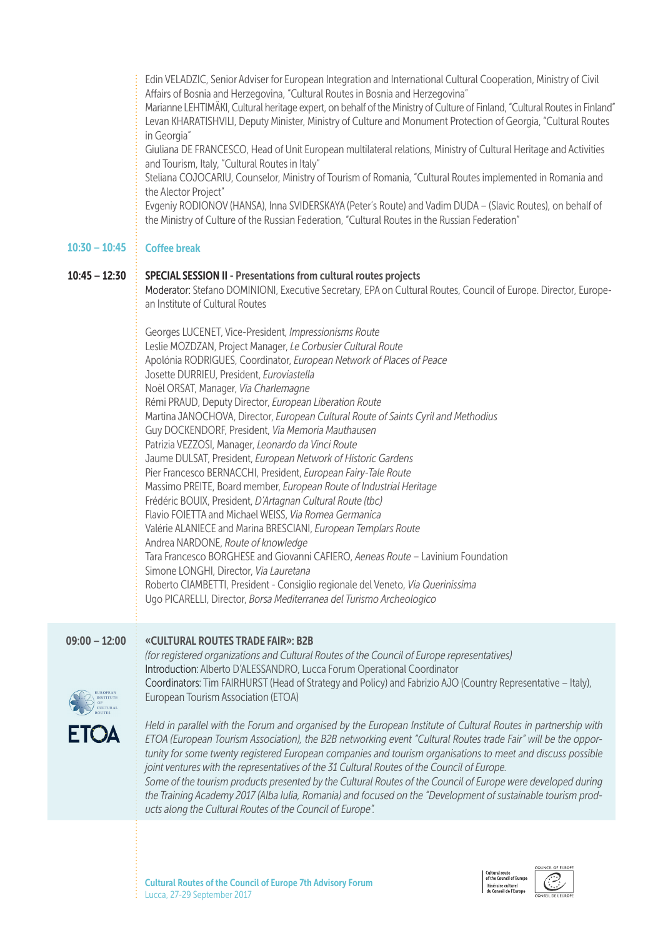Edin VELADZIC, Senior Adviser for European Integration and International Cultural Cooperation, Ministry of Civil Affairs of Bosnia and Herzegovina, "Cultural Routes in Bosnia and Herzegovina"

Marianne LEHTIMÄKI, Cultural heritage expert, on behalf of the Ministry of Culture of Finland, "Cultural Routes in Finland" Levan KHARATISHVILI, Deputy Minister, Ministry of Culture and Monument Protection of Georgia, "Cultural Routes in Georgia"

Giuliana DE FRANCESCO, Head of Unit European multilateral relations, Ministry of Cultural Heritage and Activities and Tourism, Italy, "Cultural Routes in Italy"

Steliana COJOCARIU, Counselor, Ministry of Tourism of Romania, "Cultural Routes implemented in Romania and the Alector Project"

Evgeniy RODIONOV (HANSA), Inna SVIDERSKAYA (Peter's Route) and Vadim DUDA – (Slavic Routes), on behalf of the Ministry of Culture of the Russian Federation, "Cultural Routes in the Russian Federation"

#### Coffee break 10:30 – 10:45

#### SPECIAL SESSION II - Presentations from cultural routes projects 10:45 – 12:30

Moderator: Stefano DOMINIONI, Executive Secretary, EPA on Cultural Routes, Council of Europe. Director, European Institute of Cultural Routes

Georges LUCENET, Vice-President, *Impressionisms Route* Leslie MOZDZAN, Project Manager, *Le Corbusier Cultural Route* Apolónia RODRIGUES, Coordinator, *European Network of Places of Peace* Josette DURRIEU, President, *Euroviastella* Noël ORSAT, Manager, *Via Charlemagne* Rémi PRAUD, Deputy Director, *European Liberation Route* Martina JANOCHOVA, Director, *European Cultural Route of Saints Cyril and Methodius* Guy DOCKENDORF, President, *Via Memoria Mauthausen* Patrizia VEZZOSI, Manager, *Leonardo da Vinci Route* Jaume DULSAT, President, *European Network of Historic Gardens* Pier Francesco BERNACCHI, President, *European Fairy-Tale Route* Massimo PREITE, Board member, *European Route of Industrial Heritage* Frédéric BOUIX, President, *D'Artagnan Cultural Route (tbc)* Flavio FOIETTA and Michael WEISS, *Via Romea Germanica* Valérie ALANIECE and Marina BRESCIANI, *European Templars Route* Andrea NARDONE, *Route of knowledge* Tara Francesco BORGHESE and Giovanni CAFIERO, *Aeneas Route* – Lavinium Foundation Simone LONGHI, Director, *Via Lauretana* Roberto CIAMBETTI, President - Consiglio regionale del Veneto, *Via Querinissima* Ugo PICARELLI, Director, *Borsa Mediterranea del Turismo Archeologico*

#### 09:00 – 12:00

## «CULTURAL ROUTES TRADE FAIR»: B2B



*(for registered organizations and Cultural Routes of the Council of Europe representatives)* Introduction: Alberto D'ALESSANDRO, Lucca Forum Operational Coordinator Coordinators: Tim FAIRHURST (Head of Strategy and Policy) and Fabrizio AJO (Country Representative – Italy), European Tourism Association (ETOA)



*Held in parallel with the Forum and organised by the European Institute of Cultural Routes in partnership with ETOA (European Tourism Association), the B2B networking event "Cultural Routes trade Fair" will be the opportunity for some twenty registered European companies and tourism organisations to meet and discuss possible joint ventures with the representatives of the 31 Cultural Routes of the Council of Europe.*

*Some of the tourism products presented by the Cultural Routes of the Council of Europe were developed during the Training Academy 2017 (Alba Iulia, Romania) and focused on the "Development of sustainable tourism products along the Cultural Routes of the Council of Europe".*



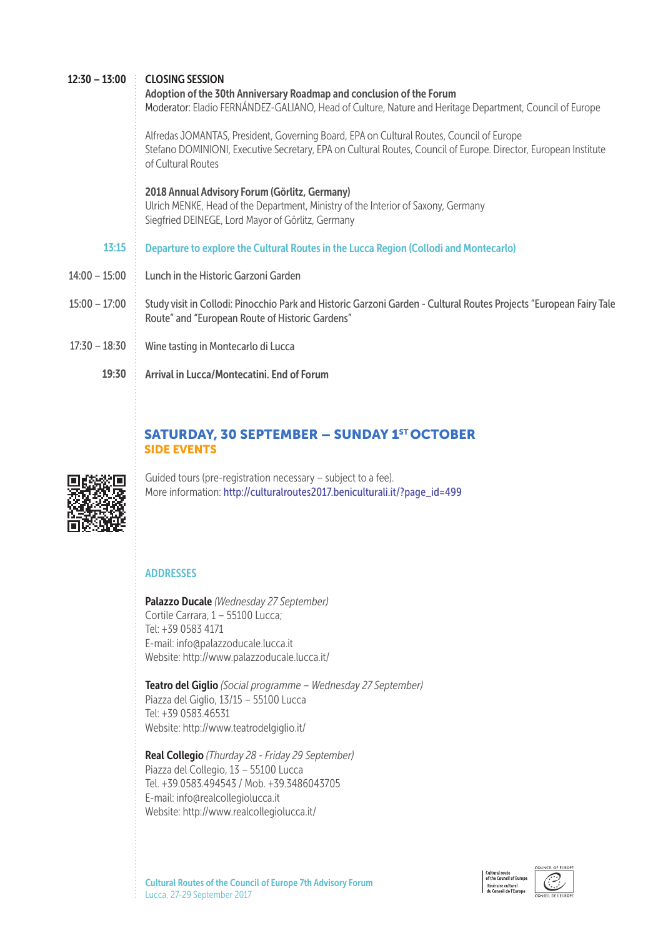| $12:30 - 13:00$ | <b>CLOSING SESSION</b><br>Adoption of the 30th Anniversary Roadmap and conclusion of the Forum<br>Moderator: Eladio FERNÁNDEZ-GALIANO, Head of Culture, Nature and Heritage Department, Council of Europe                         |
|-----------------|-----------------------------------------------------------------------------------------------------------------------------------------------------------------------------------------------------------------------------------|
|                 | Alfredas JOMANTAS, President, Governing Board, EPA on Cultural Routes, Council of Europe<br>Stefano DOMINIONI, Executive Secretary, EPA on Cultural Routes, Council of Europe. Director, European Institute<br>of Cultural Routes |
|                 | 2018 Annual Advisory Forum (Görlitz, Germany)<br>Ulrich MENKE, Head of the Department, Ministry of the Interior of Saxony, Germany<br>Siegfried DEINEGE, Lord Mayor of Görlitz, Germany                                           |
| 13:15           | Departure to explore the Cultural Routes in the Lucca Region (Collodi and Montecarlo)                                                                                                                                             |
| $14:00 - 15:00$ | Lunch in the Historic Garzoni Garden                                                                                                                                                                                              |
| $15:00 - 17:00$ | Study visit in Collodi: Pinocchio Park and Historic Garzoni Garden - Cultural Routes Projects "European Fairy Tale<br>Route" and "European Route of Historic Gardens"                                                             |
| $17:30 - 18:30$ | Wine tasting in Montecarlo di Lucca                                                                                                                                                                                               |
| 19:30           | Arrival in Lucca/Montecatini. End of Forum                                                                                                                                                                                        |
|                 |                                                                                                                                                                                                                                   |

# SATURDAY, 30 SEPTEMBER - SUNDAY 1ST OCTOBER SIDE EVENTS



Guided tours (pre-registration necessary – subject to a fee). More information: http://culturalroutes2017.beniculturali.it/?page\_id=499

# ADDRESSES

Palazzo Ducale *(Wednesday 27 September)* Cortile Carrara, 1 – 55100 Lucca; Tel: +39 0583 4171 E-mail: info@palazzoducale.lucca.it Website: http://www.palazzoducale.lucca.it/

Teatro del Giglio *(Social programme – Wednesday 27 September)* Piazza del Giglio, 13/15 – 55100 Lucca Tel: +39 0583.46531 Website: http://www.teatrodelgiglio.it/

Real Collegio *(Thurday 28 - Friday 29 September)* Piazza del Collegio, 13 – 55100 Lucca Tel. +39.0583.494543 / Mob. +39.3486043705 E-mail: info@realcollegiolucca.it Website: http://www.realcollegiolucca.it/



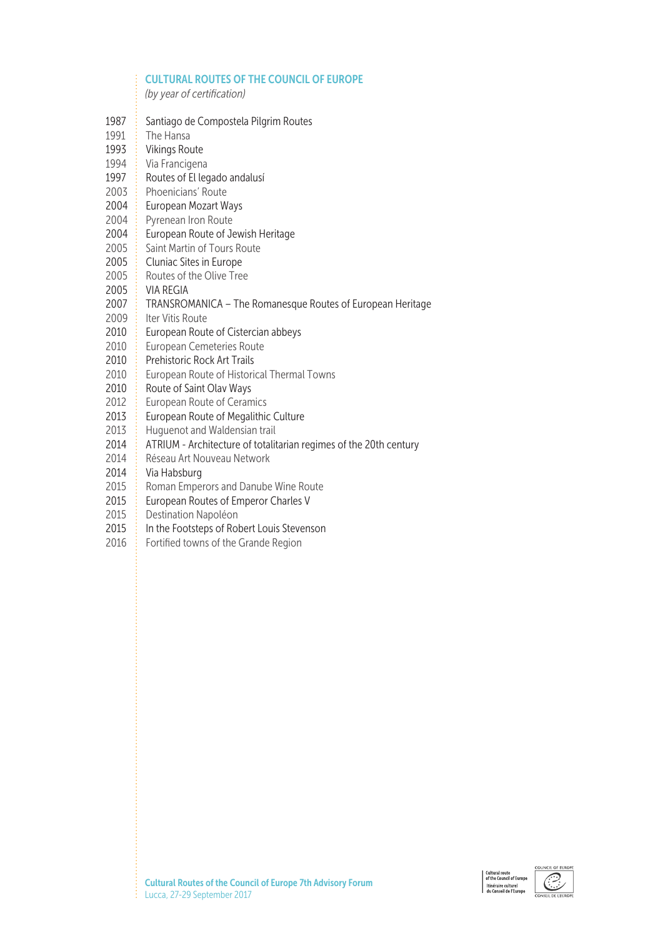## **EXCULTURAL ROUTES OF THE COUNCIL OF EUROPE**

*(by year of certification)*

| 1987 | Santiago de Compostela Pilgrim Routes                             |
|------|-------------------------------------------------------------------|
| 1991 | The Hansa                                                         |
| 1993 | <b>Vikings Route</b>                                              |
| 1994 | Via Francigena                                                    |
| 1997 | Routes of El legado andalusí                                      |
| 2003 | Phoenicians' Route                                                |
| 2004 | European Mozart Ways                                              |
| 2004 | Pyrenean Iron Route                                               |
| 2004 | European Route of Jewish Heritage                                 |
| 2005 | Saint Martin of Tours Route                                       |
| 2005 | Cluniac Sites in Europe                                           |
| 2005 | Routes of the Olive Tree                                          |
| 2005 | VIA REGIA                                                         |
| 2007 | TRANSROMANICA - The Romanesque Routes of European Heritage        |
| 2009 | Iter Vitis Route                                                  |
| 2010 | European Route of Cistercian abbeys                               |
| 2010 | <b>European Cemeteries Route</b>                                  |
| 2010 | Prehistoric Rock Art Trails                                       |
| 2010 | European Route of Historical Thermal Towns                        |
| 2010 | Route of Saint Olav Ways                                          |
| 2012 | <b>European Route of Ceramics</b>                                 |
| 2013 | European Route of Megalithic Culture                              |
| 2013 | Huguenot and Waldensian trail                                     |
| 2014 | ATRIUM - Architecture of totalitarian regimes of the 20th century |
| 2014 | Réseau Art Nouveau Network                                        |
| 2014 | Via Habsburg                                                      |
| 2015 | Roman Emperors and Danube Wine Route                              |
| 2015 | European Routes of Emperor Charles V                              |
| 2015 | Destination Napoléon                                              |
| 2015 | In the Footsteps of Robert Louis Stevenson                        |
| 2016 | Fortified towns of the Grande Region                              |